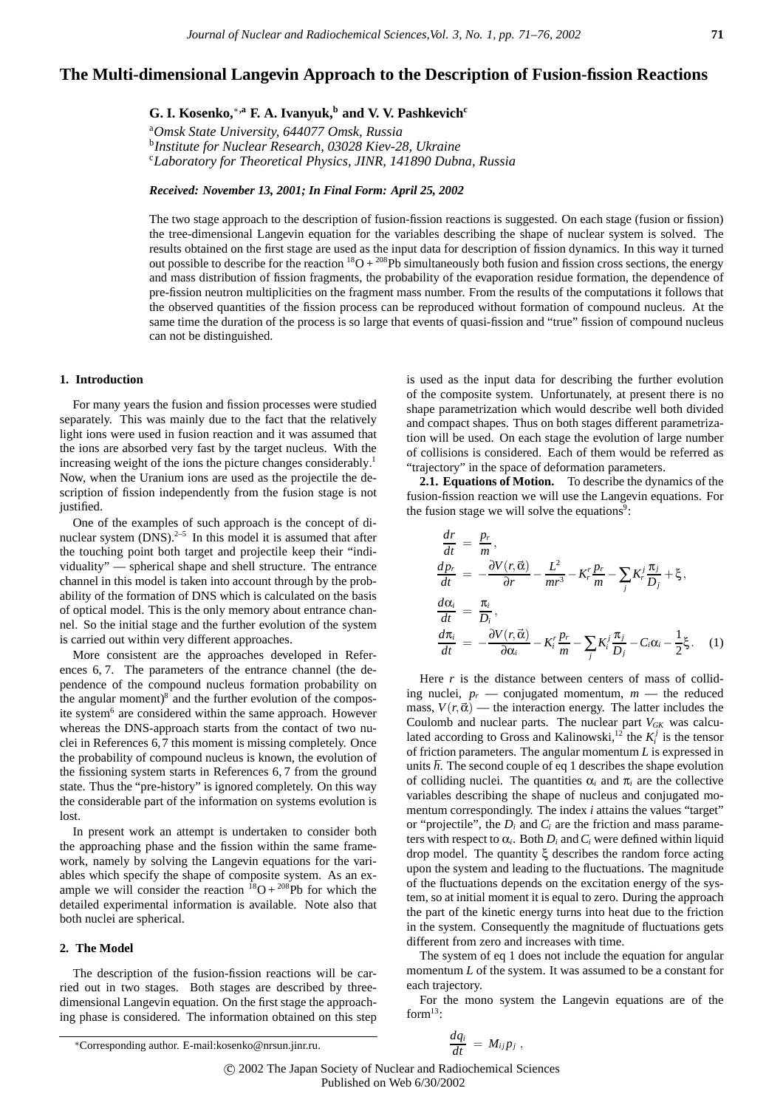**G. I. Kosenko,**∗**,a F. A. Ivanyuk,<sup>b</sup> and V. V. Pashkevichc**

a *Omsk State University, 644077 Omsk, Russia*

b *Institute for Nuclear Research, 03028 Kiev-28, Ukraine* c *Laboratory for Theoretical Physics, JINR, 141890 Dubna, Russia*

*Received: November 13, 2001; In Final Form: April 25, 2002*

The two stage approach to the description of fusion-fission reactions is suggested. On each stage (fusion or fission) the tree-dimensional Langevin equation for the variables describing the shape of nuclear system is solved. The results obtained on the first stage are used as the input data for description of fission dynamics. In this way it turned out possible to describe for the reaction  ${}^{18}O + {}^{208}Pb$  simultaneously both fusion and fission cross sections, the energy and mass distribution of fission fragments, the probability of the evaporation residue formation, the dependence of pre-fission neutron multiplicities on the fragment mass number. From the results of the computations it follows that the observed quantities of the fission process can be reproduced without formation of compound nucleus. At the same time the duration of the process is so large that events of quasi-fission and "true" fission of compound nucleus can not be distinguished.

### **1. Introduction**

For many years the fusion and fission processes were studied separately. This was mainly due to the fact that the relatively light ions were used in fusion reaction and it was assumed that the ions are absorbed very fast by the target nucleus. With the increasing weight of the ions the picture changes considerably.<sup>1</sup> Now, when the Uranium ions are used as the projectile the description of fission independently from the fusion stage is not justified.

One of the examples of such approach is the concept of dinuclear system  $(DNS)$ <sup>2–5</sup> In this model it is assumed that after the touching point both target and projectile keep their "individuality" — spherical shape and shell structure. The entrance channel in this model is taken into account through by the probability of the formation of DNS which is calculated on the basis of optical model. This is the only memory about entrance channel. So the initial stage and the further evolution of the system is carried out within very different approaches.

More consistent are the approaches developed in References 6, 7. The parameters of the entrance channel (the dependence of the compound nucleus formation probability on the angular moment)<sup>8</sup> and the further evolution of the composite system<sup>6</sup> are considered within the same approach. However whereas the DNS-approach starts from the contact of two nuclei in References 6,7 this moment is missing completely. Once the probability of compound nucleus is known, the evolution of the fissioning system starts in References 6, 7 from the ground state. Thus the "pre-history" is ignored completely. On this way the considerable part of the information on systems evolution is lost.

In present work an attempt is undertaken to consider both the approaching phase and the fission within the same framework, namely by solving the Langevin equations for the variables which specify the shape of composite system. As an example we will consider the reaction  ${}^{18}O + {}^{208}Pb$  for which the detailed experimental information is available. Note also that both nuclei are spherical.

# **2. The Model**

The description of the fusion-fission reactions will be carried out in two stages. Both stages are described by threedimensional Langevin equation. On the first stage the approaching phase is considered. The information obtained on this step is used as the input data for describing the further evolution of the composite system. Unfortunately, at present there is no shape parametrization which would describe well both divided and compact shapes. Thus on both stages different parametrization will be used. On each stage the evolution of large number of collisions is considered. Each of them would be referred as "trajectory" in the space of deformation parameters.

**2.1. Equations of Motion.** To describe the dynamics of the fusion-fission reaction we will use the Langevin equations. For the fusion stage we will solve the equations<sup>9</sup>:

$$
\begin{aligned}\n\frac{dr}{dt} &= \frac{p_r}{m},\\
\frac{dp_r}{dt} &= -\frac{\partial V(r, \vec{\alpha})}{\partial r} - \frac{L^2}{mr^3} - K_r' \frac{p_r}{m} - \sum_j K_r' \frac{\pi_j}{D_j} + \xi,\\
\frac{d\alpha_i}{dt} &= \frac{\pi_i}{D_i},\\
\frac{d\pi_i}{dt} &= -\frac{\partial V(r, \vec{\alpha})}{\partial \alpha_i} - K_i' \frac{p_r}{m} - \sum_j K_i' \frac{\pi_j}{D_j} - C_i \alpha_i - \frac{1}{2} \xi. \quad (1)\n\end{aligned}
$$

Here  $r$  is the distance between centers of mass of colliding nuclei,  $p_r$  — conjugated momentum,  $m$  — the reduced mass,  $V(r, \vec{\alpha})$  — the interaction energy. The latter includes the Coulomb and nuclear parts. The nuclear part *VGK* was calculated according to Gross and Kalinowski, $i^{2}$  the  $K_i^{j}$  is the tensor of friction parameters. The angular momentum *L* is expressed in units  $\hbar$ . The second couple of eq 1 describes the shape evolution of colliding nuclei. The quantities  $\alpha_i$  and  $\pi_i$  are the collective variables describing the shape of nucleus and conjugated momentum correspondingly. The index *i* attains the values "target" or "projectile", the *Di* and *Ci* are the friction and mass parameters with respect to  $\alpha_i$ . Both  $D_i$  and  $C_i$  were defined within liquid drop model. The quantity ξ describes the random force acting upon the system and leading to the fluctuations. The magnitude of the fluctuations depends on the excitation energy of the system, so at initial moment it is equal to zero. During the approach the part of the kinetic energy turns into heat due to the friction in the system. Consequently the magnitude of fluctuations gets different from zero and increases with time.

The system of eq 1 does not include the equation for angular momentum *L* of the system. It was assumed to be a constant for each trajectory.

For the mono system the Langevin equations are of the form $^{13}$ :

*dqi dt* <sup>=</sup> *Mi j pj* , c 2002 The Japan Society of Nuclear and Radiochemical Sciences Published on Web 6/30/2002

<sup>∗</sup>Corresponding author. E-mail:kosenko@nrsun.jinr.ru.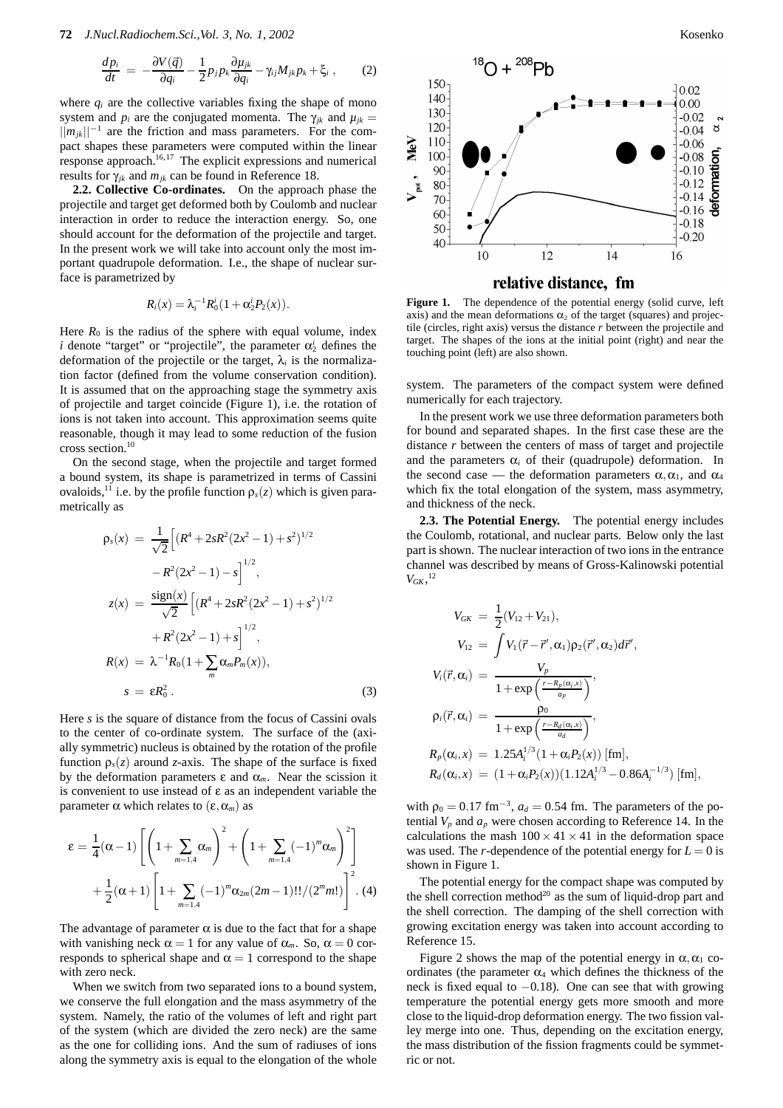$$
\frac{dp_i}{dt} = -\frac{\partial V(\vec{q})}{\partial q_i} - \frac{1}{2} p_j p_k \frac{\partial \mu_{jk}}{\partial q_i} - \gamma_{ij} M_{jk} p_k + \xi_i , \qquad (2)
$$

where  $q_i$  are the collective variables fixing the shape of mono system and  $p_i$  are the conjugated momenta. The  $\gamma_{ik}$  and  $\mu_{ik}$  $||m_{ik}||^{-1}$  are the friction and mass parameters. For the compact shapes these parameters were computed within the linear response approach.<sup>16,17</sup> The explicit expressions and numerical results for  $\gamma_{jk}$  and  $m_{jk}$  can be found in Reference 18.

**2.2. Collective Co-ordinates.** On the approach phase the projectile and target get deformed both by Coulomb and nuclear interaction in order to reduce the interaction energy. So, one should account for the deformation of the projectile and target. In the present work we will take into account only the most important quadrupole deformation. I.e., the shape of nuclear surface is parametrized by

$$
R_i(x) = \lambda_i^{-1} R_0^i (1 + \alpha_2^i P_2(x)).
$$

Here  $R_0$  is the radius of the sphere with equal volume, index *i* denote "target" or "projectile", the parameter  $\alpha_2^i$  defines the deformation of the projectile or the target,  $\lambda_i$  is the normalization factor (defined from the volume conservation condition). It is assumed that on the approaching stage the symmetry axis of projectile and target coincide (Figure 1), i.e. the rotation of ions is not taken into account. This approximation seems quite reasonable, though it may lead to some reduction of the fusion cross section.10

On the second stage, when the projectile and target formed a bound system, its shape is parametrized in terms of Cassini ovaloids,<sup>11</sup> i.e. by the profile function  $\rho_s(z)$  which is given parametrically as

$$
\rho_s(x) = \frac{1}{\sqrt{2}} \Big[ (R^4 + 2sR^2(2x^2 - 1) + s^2)^{1/2} \n- R^2(2x^2 - 1) - s \Big]^{1/2},
$$
\n
$$
z(x) = \frac{\text{sign}(x)}{\sqrt{2}} \Big[ (R^4 + 2sR^2(2x^2 - 1) + s^2)^{1/2} \n+ R^2(2x^2 - 1) + s \Big]^{1/2},
$$
\n
$$
R(x) = \lambda^{-1} R_0 (1 + \sum_m \alpha_m P_m(x)),
$$
\n
$$
s = \varepsilon R_0^2.
$$
\n(3)

Here *s* is the square of distance from the focus of Cassini ovals to the center of co-ordinate system. The surface of the (axially symmetric) nucleus is obtained by the rotation of the profile function  $\rho_s(z)$  around *z*-axis. The shape of the surface is fixed by the deformation parameters  $\varepsilon$  and  $\alpha_m$ . Near the scission it is convenient to use instead of ε as an independent variable the parameter α which relates to  $(ε, α<sub>m</sub>)$  as

$$
\varepsilon = \frac{1}{4}(\alpha - 1) \left[ \left( 1 + \sum_{m=1,4} \alpha_m \right)^2 + \left( 1 + \sum_{m=1,4} (-1)^m \alpha_m \right)^2 \right] + \frac{1}{2}(\alpha + 1) \left[ 1 + \sum_{m=1,4} (-1)^m \alpha_{2m} (2m - 1)!! / (2^m m!) \right]^2.
$$
 (4)

The advantage of parameter  $\alpha$  is due to the fact that for a shape with vanishing neck  $\alpha = 1$  for any value of  $\alpha_m$ . So,  $\alpha = 0$  corresponds to spherical shape and  $\alpha = 1$  correspond to the shape with zero neck.

When we switch from two separated ions to a bound system, we conserve the full elongation and the mass asymmetry of the system. Namely, the ratio of the volumes of left and right part of the system (which are divided the zero neck) are the same as the one for colliding ions. And the sum of radiuses of ions along the symmetry axis is equal to the elongation of the whole



Figure 1. The dependence of the potential energy (solid curve, left axis) and the mean deformations  $\alpha_2$  of the target (squares) and projectile (circles, right axis) versus the distance *r* between the projectile and target. The shapes of the ions at the initial point (right) and near the touching point (left) are also shown.

system. The parameters of the compact system were defined numerically for each trajectory.

In the present work we use three deformation parameters both for bound and separated shapes. In the first case these are the distance *r* between the centers of mass of target and projectile and the parameters  $\alpha_i$  of their (quadrupole) deformation. In the second case — the deformation parameters  $\alpha, \alpha_1$ , and  $\alpha_4$ which fix the total elongation of the system, mass asymmetry, and thickness of the neck.

**2.3. The Potential Energy.** The potential energy includes the Coulomb, rotational, and nuclear parts. Below only the last part is shown. The nuclear interaction of two ions in the entrance channel was described by means of Gross-Kalinowski potential  $V_{GK}$ <sup>12</sup>

$$
V_{GK} = \frac{1}{2}(V_{12} + V_{21}),
$$
  
\n
$$
V_{12} = \int V_1(\vec{r} - \vec{r}', \alpha_1) \rho_2(\vec{r}', \alpha_2) d\vec{r}',
$$
  
\n
$$
V_i(\vec{r}, \alpha_i) = \frac{V_p}{1 + \exp\left(\frac{r - R_p(\alpha_i, x)}{a_p}\right)},
$$
  
\n
$$
\rho_i(\vec{r}, \alpha_i) = \frac{\rho_0}{1 + \exp\left(\frac{r - R_d(\alpha_i, x)}{a_d}\right)},
$$
  
\n
$$
R_p(\alpha_i, x) = 1.25 A_i^{1/3} (1 + \alpha_i P_2(x)) [\text{fm}],
$$
  
\n
$$
R_d(\alpha_i, x) = (1 + \alpha_i P_2(x)) (1.12 A_i^{1/3} - 0.86 A_i^{-1/3}) [\text{fm}],
$$

with  $\rho_0 = 0.17$  fm<sup>-3</sup>,  $a_d = 0.54$  fm. The parameters of the potential  $V_p$  and  $a_p$  were chosen according to Reference 14. In the calculations the mash  $100 \times 41 \times 41$  in the deformation space was used. The *r*-dependence of the potential energy for  $L = 0$  is shown in Figure 1.

The potential energy for the compact shape was computed by the shell correction method<sup>20</sup> as the sum of liquid-drop part and the shell correction. The damping of the shell correction with growing excitation energy was taken into account according to Reference 15.

Figure 2 shows the map of the potential energy in  $\alpha$ ,  $\alpha_1$  coordinates (the parameter  $\alpha_4$  which defines the thickness of the neck is fixed equal to −0.18). One can see that with growing temperature the potential energy gets more smooth and more close to the liquid-drop deformation energy. The two fission valley merge into one. Thus, depending on the excitation energy, the mass distribution of the fission fragments could be symmetric or not.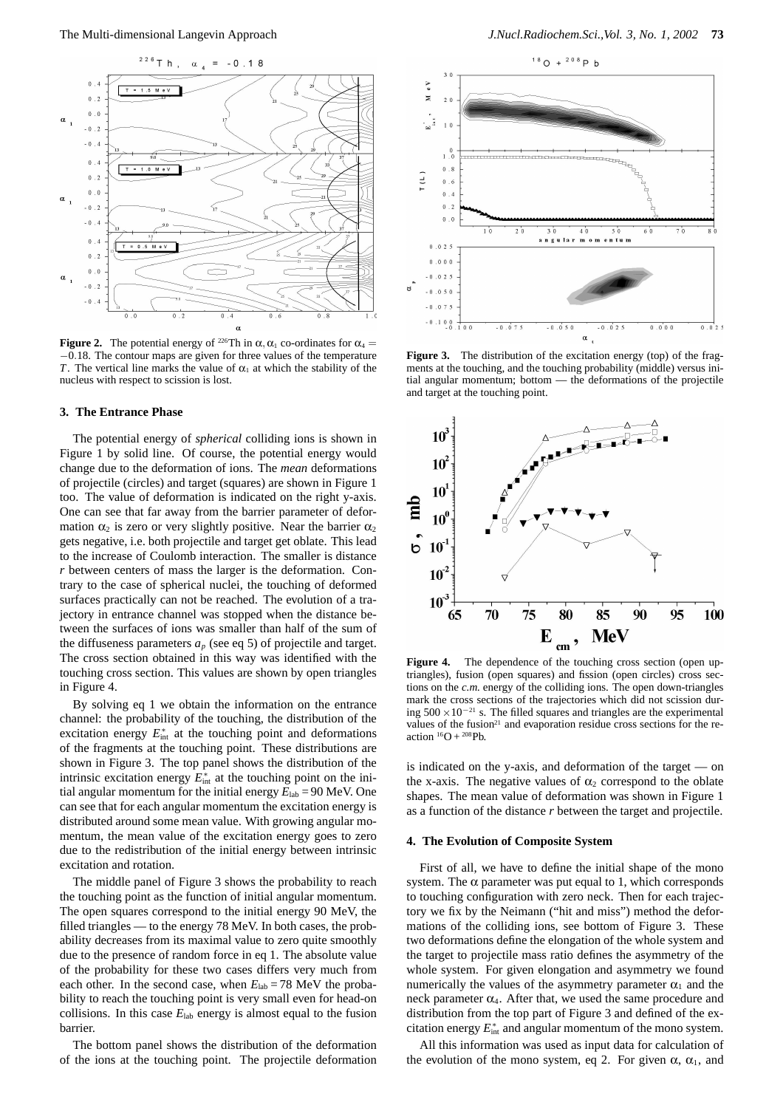

**Figure 2.** The potential energy of <sup>226</sup>Th in  $\alpha$ ,  $\alpha_1$  co-ordinates for  $\alpha_4$  = *−*0.18. The contour maps are given for three values of the temperature *T*. The vertical line marks the value of  $\alpha_1$  at which the stability of the nucleus with respect to scission is lost.

#### **3. The Entrance Phase**

The potential energy of *spherical* colliding ions is shown in Figure 1 by solid line. Of course, the potential energy would change due to the deformation of ions. The *mean* deformations of projectile (circles) and target (squares) are shown in Figure 1 too. The value of deformation is indicated on the right y-axis. One can see that far away from the barrier parameter of deformation  $\alpha_2$  is zero or very slightly positive. Near the barrier  $\alpha_2$ gets negative, i.e. both projectile and target get oblate. This lead to the increase of Coulomb interaction. The smaller is distance *r* between centers of mass the larger is the deformation. Contrary to the case of spherical nuclei, the touching of deformed surfaces practically can not be reached. The evolution of a trajectory in entrance channel was stopped when the distance between the surfaces of ions was smaller than half of the sum of the diffuseness parameters  $a_p$  (see eq 5) of projectile and target. The cross section obtained in this way was identified with the touching cross section. This values are shown by open triangles in Figure 4.

By solving eq 1 we obtain the information on the entrance channel: the probability of the touching, the distribution of the excitation energy  $E_{\text{int}}^*$  at the touching point and deformations of the fragments at the touching point. These distributions are shown in Figure 3. The top panel shows the distribution of the intrinsic excitation energy  $E_{\text{int}}^*$  at the touching point on the initial angular momentum for the initial energy  $E_{lab} = 90$  MeV. One can see that for each angular momentum the excitation energy is distributed around some mean value. With growing angular momentum, the mean value of the excitation energy goes to zero due to the redistribution of the initial energy between intrinsic excitation and rotation.

The middle panel of Figure 3 shows the probability to reach the touching point as the function of initial angular momentum. The open squares correspond to the initial energy 90 MeV, the filled triangles — to the energy 78 MeV. In both cases, the probability decreases from its maximal value to zero quite smoothly due to the presence of random force in eq 1. The absolute value of the probability for these two cases differs very much from each other. In the second case, when  $E_{lab} = 78$  MeV the probability to reach the touching point is very small even for head-on collisions. In this case  $E_{lab}$  energy is almost equal to the fusion barrier.

The bottom panel shows the distribution of the deformation of the ions at the touching point. The projectile deformation



Figure 3. The distribution of the excitation energy (top) of the fragments at the touching, and the touching probability (middle) versus initial angular momentum; bottom — the deformations of the projectile and target at the touching point.



Figure 4. The dependence of the touching cross section (open uptriangles), fusion (open squares) and fission (open circles) cross sections on the  $c.m.$  energy of the colliding ions. The open down-triangles mark the cross sections of the trajectories which did not scission during 500 *×*10*−*<sup>21</sup> s. The filled squares and triangles are the experimental values of the fusion<sup>21</sup> and evaporation residue cross sections for the reaction  ${}^{16}O + {}^{208}Pb$ .

is indicated on the y-axis, and deformation of the target — on the x-axis. The negative values of  $\alpha_2$  correspond to the oblate shapes. The mean value of deformation was shown in Figure 1 as a function of the distance *r* between the target and projectile.

### **4. The Evolution of Composite System**

First of all, we have to define the initial shape of the mono system. The  $\alpha$  parameter was put equal to 1, which corresponds to touching configuration with zero neck. Then for each trajectory we fix by the Neimann ("hit and miss") method the deformations of the colliding ions, see bottom of Figure 3. These two deformations define the elongation of the whole system and the target to projectile mass ratio defines the asymmetry of the whole system. For given elongation and asymmetry we found numerically the values of the asymmetry parameter  $\alpha_1$  and the neck parameter  $\alpha_4$ . After that, we used the same procedure and distribution from the top part of Figure 3 and defined of the excitation energy  $E_{\text{int}}^*$  and angular momentum of the mono system.

All this information was used as input data for calculation of the evolution of the mono system, eq 2. For given  $\alpha$ ,  $\alpha_1$ , and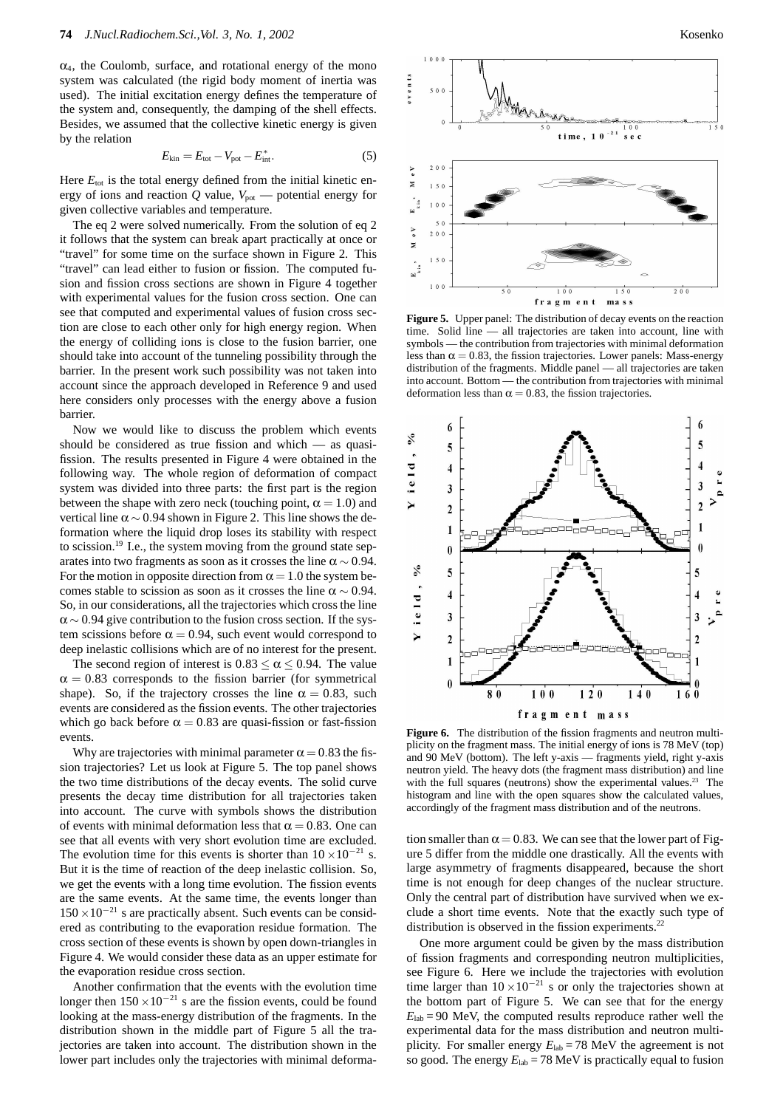$\alpha_4$ , the Coulomb, surface, and rotational energy of the mono system was calculated (the rigid body moment of inertia was used). The initial excitation energy defines the temperature of the system and, consequently, the damping of the shell effects. Besides, we assumed that the collective kinetic energy is given by the relation

$$
E_{\text{kin}} = E_{\text{tot}} - V_{\text{pot}} - E_{\text{int}}^*.
$$
\n(5)

Here  $E_{\text{tot}}$  is the total energy defined from the initial kinetic energy of ions and reaction  $Q$  value,  $V_{pot}$  — potential energy for given collective variables and temperature.

The eq 2 were solved numerically. From the solution of eq 2 it follows that the system can break apart practically at once or "travel" for some time on the surface shown in Figure 2. This "travel" can lead either to fusion or fission. The computed fusion and fission cross sections are shown in Figure 4 together with experimental values for the fusion cross section. One can see that computed and experimental values of fusion cross section are close to each other only for high energy region. When the energy of colliding ions is close to the fusion barrier, one should take into account of the tunneling possibility through the barrier. In the present work such possibility was not taken into account since the approach developed in Reference 9 and used here considers only processes with the energy above a fusion barrier.

Now we would like to discuss the problem which events should be considered as true fission and which — as quasifission. The results presented in Figure 4 were obtained in the following way. The whole region of deformation of compact system was divided into three parts: the first part is the region between the shape with zero neck (touching point,  $\alpha = 1.0$ ) and vertical line  $\alpha \sim 0.94$  shown in Figure 2. This line shows the deformation where the liquid drop loses its stability with respect to scission.<sup>19</sup> I.e., the system moving from the ground state separates into two fragments as soon as it crosses the line  $\alpha \sim 0.94$ . For the motion in opposite direction from  $\alpha = 1.0$  the system becomes stable to scission as soon as it crosses the line  $\alpha \sim 0.94$ . So, in our considerations, all the trajectories which cross the line  $\alpha$  ~ 0.94 give contribution to the fusion cross section. If the system scissions before  $\alpha = 0.94$ , such event would correspond to deep inelastic collisions which are of no interest for the present.

The second region of interest is  $0.83 < \alpha < 0.94$ . The value  $\alpha = 0.83$  corresponds to the fission barrier (for symmetrical shape). So, if the trajectory crosses the line  $\alpha = 0.83$ , such events are considered as the fission events. The other trajectories which go back before  $\alpha = 0.83$  are quasi-fission or fast-fission events.

Why are trajectories with minimal parameter  $\alpha = 0.83$  the fission trajectories? Let us look at Figure 5. The top panel shows the two time distributions of the decay events. The solid curve presents the decay time distribution for all trajectories taken into account. The curve with symbols shows the distribution of events with minimal deformation less that  $\alpha = 0.83$ . One can see that all events with very short evolution time are excluded. The evolution time for this events is shorter than  $10 \times 10^{-21}$  s. But it is the time of reaction of the deep inelastic collision. So, we get the events with a long time evolution. The fission events are the same events. At the same time, the events longer than  $150 \times 10^{-21}$  s are practically absent. Such events can be considered as contributing to the evaporation residue formation. The cross section of these events is shown by open down-triangles in Figure 4. We would consider these data as an upper estimate for the evaporation residue cross section.

Another confirmation that the events with the evolution time longer then  $150 \times 10^{-21}$  s are the fission events, could be found looking at the mass-energy distribution of the fragments. In the distribution shown in the middle part of Figure 5 all the trajectories are taken into account. The distribution shown in the lower part includes only the trajectories with minimal deforma-



**Figure 5.** Upper panel: The distribution of decay events on the reaction time. Solid line — all trajectories are taken into account, line with symbols — the contribution from trajectories with minimal deformation less than  $\alpha = 0.83$ , the fission trajectories. Lower panels: Mass-energy distribution of the fragments. Middle panel — all trajectories are taken into account. Bottom — the contribution from trajectories with minimal deformation less than  $\alpha = 0.83$ , the fission trajectories.



**Figure 6.** The distribution of the fission fragments and neutron multiplicity on the fragment mass. The initial energy of ions is 78 MeV (top) and 90 MeV (bottom). The left y-axis — fragments yield, right y-axis neutron yield. The heavy dots (the fragment mass distribution) and line with the full squares (neutrons) show the experimental values.<sup>23</sup> The histogram and line with the open squares show the calculated values, accordingly of the fragment mass distribution and of the neutrons.

tion smaller than  $\alpha = 0.83$ . We can see that the lower part of Figure 5 differ from the middle one drastically. All the events with large asymmetry of fragments disappeared, because the short time is not enough for deep changes of the nuclear structure. Only the central part of distribution have survived when we exclude a short time events. Note that the exactly such type of distribution is observed in the fission experiments.<sup>22</sup>

One more argument could be given by the mass distribution of fission fragments and corresponding neutron multiplicities, see Figure 6. Here we include the trajectories with evolution time larger than  $10 \times 10^{-21}$  s or only the trajectories shown at the bottom part of Figure 5. We can see that for the energy  $E_{\text{lab}} = 90$  MeV, the computed results reproduce rather well the experimental data for the mass distribution and neutron multiplicity. For smaller energy  $E_{lab} = 78$  MeV the agreement is not so good. The energy  $E_{\text{lab}} = 78 \text{ MeV}$  is practically equal to fusion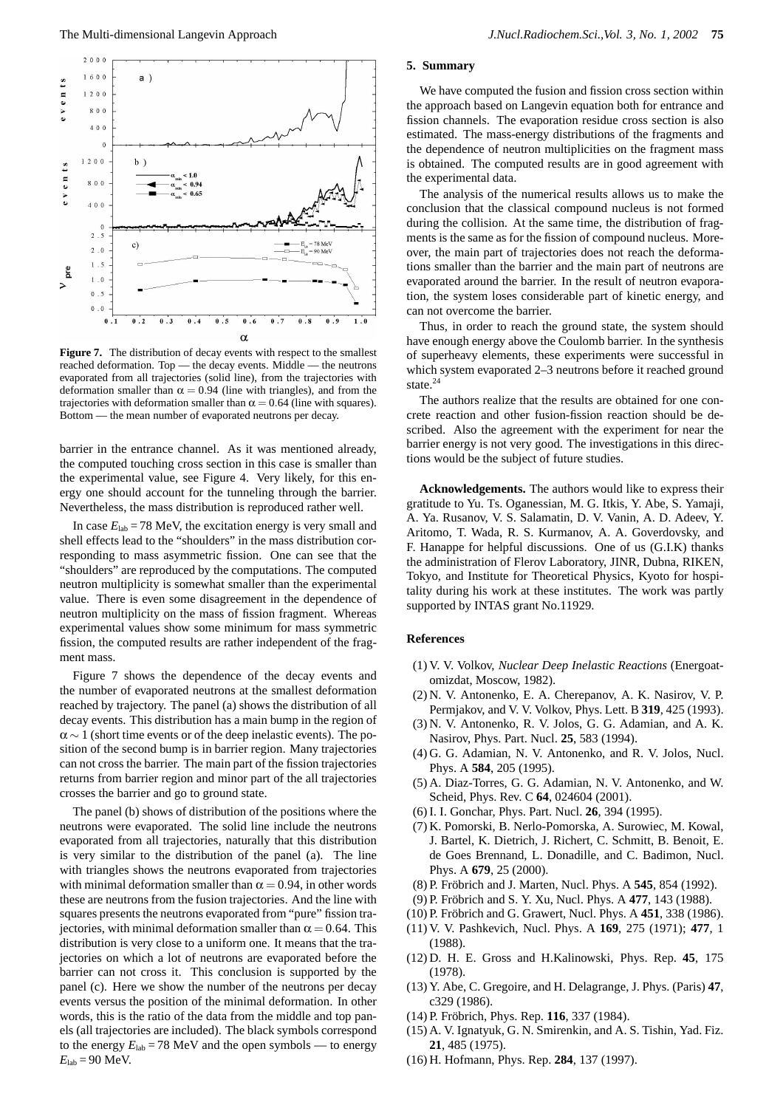

**Figure 7.** The distribution of decay events with respect to the smallest reached deformation. Top — the decay events. Middle — the neutrons evaporated from all trajectories (solid line), from the trajectories with deformation smaller than  $\alpha = 0.94$  (line with triangles), and from the trajectories with deformation smaller than  $\alpha = 0.64$  (line with squares). Bottom — the mean number of evaporated neutrons per decay.

barrier in the entrance channel. As it was mentioned already, the computed touching cross section in this case is smaller than the experimental value, see Figure 4. Very likely, for this energy one should account for the tunneling through the barrier. Nevertheless, the mass distribution is reproduced rather well.

In case  $E_{\text{lab}} = 78$  MeV, the excitation energy is very small and shell effects lead to the "shoulders" in the mass distribution corresponding to mass asymmetric fission. One can see that the "shoulders" are reproduced by the computations. The computed neutron multiplicity is somewhat smaller than the experimental value. There is even some disagreement in the dependence of neutron multiplicity on the mass of fission fragment. Whereas experimental values show some minimum for mass symmetric fission, the computed results are rather independent of the fragment mass.

Figure 7 shows the dependence of the decay events and the number of evaporated neutrons at the smallest deformation reached by trajectory. The panel (a) shows the distribution of all decay events. This distribution has a main bump in the region of  $\alpha \sim 1$  (short time events or of the deep inelastic events). The position of the second bump is in barrier region. Many trajectories can not cross the barrier. The main part of the fission trajectories returns from barrier region and minor part of the all trajectories crosses the barrier and go to ground state.

The panel (b) shows of distribution of the positions where the neutrons were evaporated. The solid line include the neutrons evaporated from all trajectories, naturally that this distribution is very similar to the distribution of the panel (a). The line with triangles shows the neutrons evaporated from trajectories with minimal deformation smaller than  $\alpha = 0.94$ , in other words these are neutrons from the fusion trajectories. And the line with squares presents the neutrons evaporated from "pure" fission trajectories, with minimal deformation smaller than  $\alpha = 0.64$ . This distribution is very close to a uniform one. It means that the trajectories on which a lot of neutrons are evaporated before the barrier can not cross it. This conclusion is supported by the panel (c). Here we show the number of the neutrons per decay events versus the position of the minimal deformation. In other words, this is the ratio of the data from the middle and top panels (all trajectories are included). The black symbols correspond to the energy  $E_{lab} = 78 \text{ MeV}$  and the open symbols — to energy  $E_{\text{lab}} = 90 \text{ MeV}$ .

## **5. Summary**

We have computed the fusion and fission cross section within the approach based on Langevin equation both for entrance and fission channels. The evaporation residue cross section is also estimated. The mass-energy distributions of the fragments and the dependence of neutron multiplicities on the fragment mass is obtained. The computed results are in good agreement with the experimental data.

The analysis of the numerical results allows us to make the conclusion that the classical compound nucleus is not formed during the collision. At the same time, the distribution of fragments is the same as for the fission of compound nucleus. Moreover, the main part of trajectories does not reach the deformations smaller than the barrier and the main part of neutrons are evaporated around the barrier. In the result of neutron evaporation, the system loses considerable part of kinetic energy, and can not overcome the barrier.

Thus, in order to reach the ground state, the system should have enough energy above the Coulomb barrier. In the synthesis of superheavy elements, these experiments were successful in which system evaporated 2–3 neutrons before it reached ground state.<sup>24</sup>

The authors realize that the results are obtained for one concrete reaction and other fusion-fission reaction should be described. Also the agreement with the experiment for near the barrier energy is not very good. The investigations in this directions would be the subject of future studies.

**Acknowledgements.** The authors would like to express their gratitude to Yu. Ts. Oganessian, M. G. Itkis, Y. Abe, S. Yamaji, A. Ya. Rusanov, V. S. Salamatin, D. V. Vanin, A. D. Adeev, Y. Aritomo, T. Wada, R. S. Kurmanov, A. A. Goverdovsky, and F. Hanappe for helpful discussions. One of us (G.I.K) thanks the administration of Flerov Laboratory, JINR, Dubna, RIKEN, Tokyo, and Institute for Theoretical Physics, Kyoto for hospitality during his work at these institutes. The work was partly supported by INTAS grant No.11929.

### **References**

- (1) V. V. Volkov, *Nuclear Deep Inelastic Reactions* (Energoatomizdat, Moscow, 1982).
- (2) N. V. Antonenko, E. A. Cherepanov, A. K. Nasirov, V. P. Permjakov, and V. V. Volkov, Phys. Lett. B **319**, 425 (1993).
- (3) N. V. Antonenko, R. V. Jolos, G. G. Adamian, and A. K. Nasirov, Phys. Part. Nucl. **25**, 583 (1994).
- (4) G. G. Adamian, N. V. Antonenko, and R. V. Jolos, Nucl. Phys. A **584**, 205 (1995).
- (5) A. Diaz-Torres, G. G. Adamian, N. V. Antonenko, and W. Scheid, Phys. Rev. C **64**, 024604 (2001).
- (6) I. I. Gonchar, Phys. Part. Nucl. **26**, 394 (1995).
- (7) K. Pomorski, B. Nerlo-Pomorska, A. Surowiec, M. Kowal, J. Bartel, K. Dietrich, J. Richert, C. Schmitt, B. Benoit, E. de Goes Brennand, L. Donadille, and C. Badimon, Nucl. Phys. A **679**, 25 (2000).
- (8) P. Fröbrich and J. Marten, Nucl. Phys. A 545, 854 (1992).
- (9) P. Fröbrich and S. Y. Xu, Nucl. Phys. A 477, 143 (1988).
- (10) P. Fröbrich and G. Grawert, Nucl. Phys. A 451, 338 (1986).
- (11) V. V. Pashkevich, Nucl. Phys. A **169**, 275 (1971); **477**, 1 (1988).
- (12) D. H. E. Gross and H.Kalinowski, Phys. Rep. **45**, 175 (1978).
- (13) Y. Abe, C. Gregoire, and H. Delagrange, J. Phys. (Paris) **47**, c329 (1986).
- (14) P. Fröbrich, Phys. Rep. 116, 337 (1984).
- (15) A. V. Ignatyuk, G. N. Smirenkin, and A. S. Tishin, Yad. Fiz. **21**, 485 (1975).
- (16) H. Hofmann, Phys. Rep. **284**, 137 (1997).